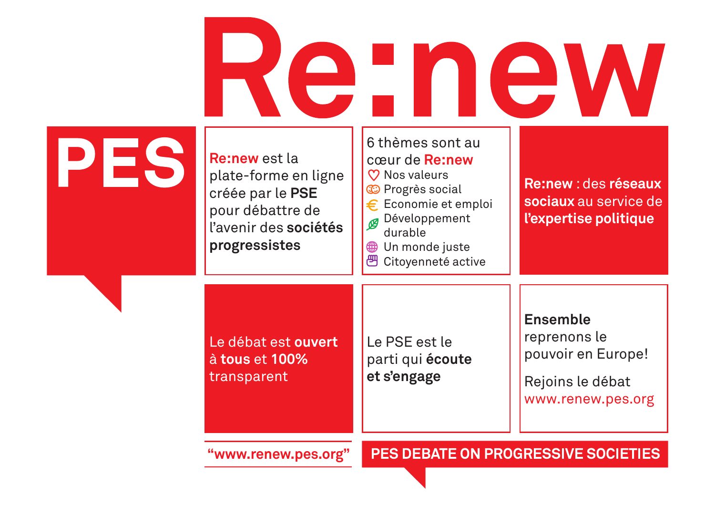## Re:new

| $\blacktriangleright$ | <b>Re:new</b> est la<br>plate-forme en ligne<br>créée par le PSE<br>pour débattre de<br>l'avenir des sociétés<br>progressistes | o themes sont au<br>cœur de Re:new<br><b>V</b> Nos valeurs<br><b>C</b> Progrès social<br>Economie et emploi<br>€.<br>Développement<br>durable<br>Un monde juste<br>$\hat{\mathbb{B}}$<br>巴 Citoyenneté active | <b>Re:new: des réseaux</b><br>sociaux au service de<br>l'expertise politique                   |
|-----------------------|--------------------------------------------------------------------------------------------------------------------------------|---------------------------------------------------------------------------------------------------------------------------------------------------------------------------------------------------------------|------------------------------------------------------------------------------------------------|
|                       | Le débat est ouvert<br>à tous et 100%<br>transparent                                                                           | Le PSE est le<br>parti qui écoute<br>et s'engage                                                                                                                                                              | <b>Ensemble</b><br>reprenons le<br>pouvoir en Europe!<br>Rejoins le débat<br>www.renew.pes.org |
| "www.renew.pes.org"   |                                                                                                                                | <b>PES DEBATE ON PROGRESSIVE SOCIETIES</b>                                                                                                                                                                    |                                                                                                |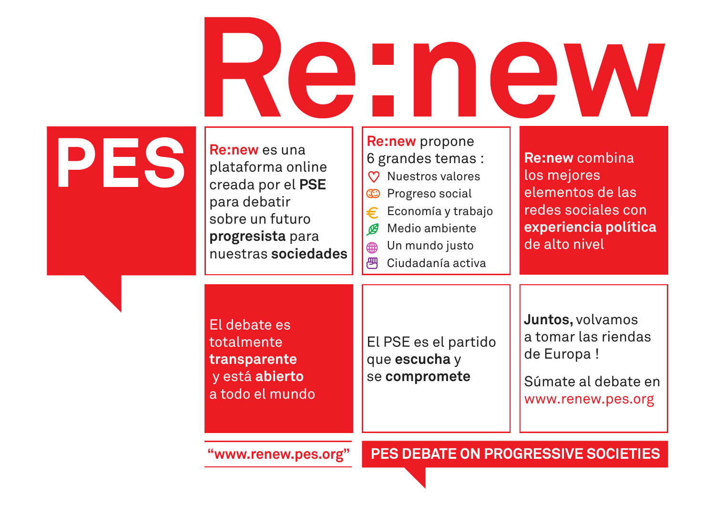## Re new

#### **PES**

**Re:new** es una plataforma online creada por el **PSE**  para debatir sobre un futuro **progresista** para nuestras **sociedades**

**Re:new** propone 6 grandes temas : **Re:new** combina **C** Nuestros valores los mejores elementos de las **C** Progreso social redes sociales con Economía y trabajo € Medio ambiente **experiencia política** മ de alto nivel Un mundo justo ∰ Ciudadanía activa

El debate es totalmente **transparente**  y está **abierto**  a todo el mundo

El PSE es el partido que **escucha** y se **compromete**

**Juntos,** volvamos a tomar las riendas de Europa !

Súmate al debate en www.renew.pes.org

**"www.renew.pes.org"**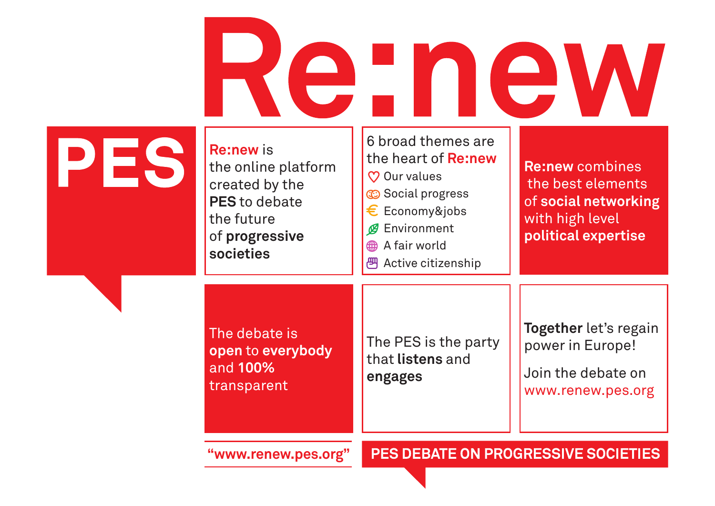# Re new

#### **PES**

**Re:new** is the online platform created by the **PES** to debate the future of **progressive societies**

6 broad themes are the heart of **Re:new C** Our values  $\circledcirc$  Social progress  $\epsilon$  Economy&jobs **Ø** Environment A fair world <sup>四</sup> Active citizenship

**Re:new** combines the best elements of **social networking** with high level **political expertise**

The debate is **open** to **everybody**  and **100%**  transparent

The PES is the party that **listens** and **engages**

**Together** let's regain power in Europe!

Join the debate on www.renew.pes.org

**"www.renew.pes.org"**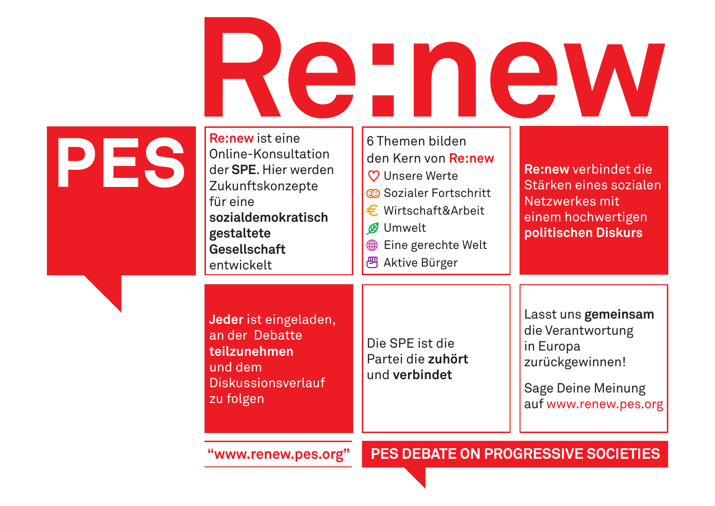## Re-new

### **PES**

**Re:new** ist eine Online-Konsultation der **SPE**. Hier werden Zukunftskonzepte für eine **sozialdemokratisch gestaltete Gesellschaft**  entwickelt

**Jeder** ist eingeladen, an der Debatte **teilzunehmen** und dem

Diskussionsverlauf

zu folgen

|    | 6 Themen bilden<br>den Kern von Re:new<br>$\heartsuit$ Unsere Werte<br>C Sozialer Fortschritt<br>$\epsilon$ Wirtschaft&Arbeit<br>Umwelt<br>Eine gerechte Welt<br>∰<br>Aktive Bürger | <b>Re:new verbindet die</b><br>Stärken eines sozialen<br>Netzwerkes mit<br>einem hochwertigen<br>politischen Diskurs |
|----|-------------------------------------------------------------------------------------------------------------------------------------------------------------------------------------|----------------------------------------------------------------------------------------------------------------------|
| ۱, | Die SPF ist die                                                                                                                                                                     | Lasst uns gemeinsam<br>die Verantwortung<br>in Europo                                                                |

Partei die **zuhört** und **verbindet**

Lasst uns **gemeinsam** /erantwortung in Europa zurückgewinnen!

Sage Deine Meinung auf www.renew.pes.org

**"www.renew.pes.org"**